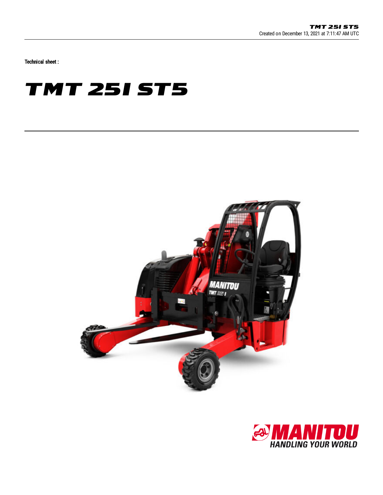Technical sheet :

## **TMT 25I ST5**



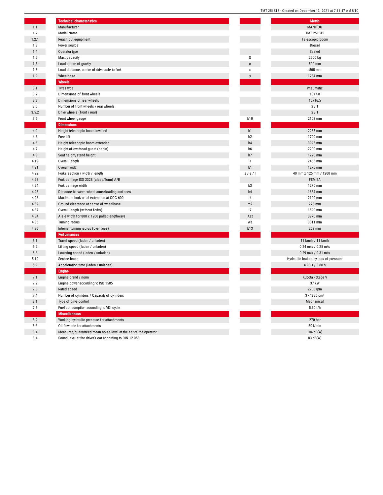|              | <b>Technical characteristics</b>                                |                | <b>Metric</b>                        |
|--------------|-----------------------------------------------------------------|----------------|--------------------------------------|
| 1.1          | Manufacturer                                                    |                | MANITOU                              |
| 1.2          | Model Name                                                      |                | <b>TMT 251 ST5</b>                   |
| 1.2.1        | Reach out equipment                                             |                | Telescopic boom                      |
| 1.3          | Power source                                                    |                | Diesel                               |
| 1.4          | Operator type                                                   |                | Seated                               |
| 1.5          | Max. capacity                                                   | Q              | 2500 kg                              |
| 1.6          | Load centre of gravity                                          | $\mathbf c$    | 500 mm                               |
| 1.8          | Load distance, centre of drive axle to fork                     | x              | $-505$ mm                            |
| 1.9          | Wheelbase                                                       | $\mathsf{v}$   | 1784 mm                              |
|              | Wheels                                                          |                |                                      |
| 3.1          | Tyres type                                                      |                | Pneumatic                            |
| 3.2          | Dimensions of front wheels                                      |                | 18x7-8                               |
| 3.3          | Dimensions of rear wheels                                       |                | 10x16,5                              |
| 3.5          | Number of front wheels / rear wheels                            |                | 2/1                                  |
| 3.5.2        | Drive wheels (front / rear)                                     |                | 2/1                                  |
| 3.6          | Front wheel gauge                                               | <b>b10</b>     | 2102 mm                              |
|              | <b>Dimensions</b>                                               |                |                                      |
| 4.2          | Height telescopic boom lowered                                  | h1             | 2285 mm                              |
| 4.3          | Free lift                                                       | h <sub>2</sub> | 1700 mm                              |
| 4.5          | Height telescopic boom extended                                 | h4             | 3925 mm                              |
| 4.7          | Height of overhead guard (cabin)                                | h6             | 2200 mm                              |
| 4.8          | Seat height/stand height                                        | h7             | 1220 mm                              |
| 4.19         | Overall length                                                  | 1              | 2455 mm                              |
| 4.21         | Overall width                                                   | b1             | 1270 mm                              |
| 4.22         | Forks section / width / length                                  | s/e/l          | 40 mm x 125 mm / 1200 mm             |
| 4.23         | Fork carriage ISO 2328 (class/form) A/B                         |                | FEM 2A                               |
| 4.24         | Fork carriage width                                             | b3             | 1270 mm                              |
| 4.26         | Distance between wheel arms/loading surfaces                    | b <sub>4</sub> | 1634 mm                              |
| 4.28         | Maximum horizontal extension at COG 600                         | 4              | 2100 mm                              |
| 4.32         |                                                                 |                |                                      |
|              | Ground clearance at centre of wheelbase                         | m2<br>17       | 278 mm<br>1590 mm                    |
| 4.37         | Overall length (without forks)                                  |                |                                      |
| 4.34<br>4.35 | Aisle width for 800 x 1200 pallet lengthways                    | Ast<br>Wa      | 3970 mm<br>3011 mm                   |
|              | <b>Turning radius</b>                                           |                |                                      |
| 4.36         | Internal turning radius (over tyres)                            | b13            | 269 mm                               |
| 5.1          | Performances                                                    |                |                                      |
|              | Travel speed (laden / unladen)                                  |                | 11 km/h / 11 km/h                    |
| 5.2          | Lifting speed (laden / unladen)                                 |                | $0.24$ m/s / $0.25$ m/s              |
| 5.3          | Lowering speed (laden / unladen)                                |                | 0.29 m/s / 0.31 m/s                  |
| 5.10         | Service brake                                                   |                | Hydraulic brakes by loss of pressure |
| 5.9          | Acceleration time (laden / unladen)                             |                | 4.90 s / 3.80 s                      |
|              | <b>Engine</b>                                                   |                |                                      |
| 7.1          | Engine brand / norm                                             |                | Kubota - Stage V                     |
| 7.2          | Engine power according to ISO 1585                              |                | 37 kW                                |
| 7.3          | Rated speed                                                     |                | 2700 rpm                             |
| 7.4          | Number of cylinders / Capacity of cylinders                     |                | $3 - 1826$ cm <sup>3</sup>           |
| 8.1          | Type of drive control                                           |                | Mechanical                           |
| 7.5          | Fuel consumption according to VDI cycle                         |                | $5.60$ I/h                           |
|              | <b>Miscellaneous</b>                                            |                |                                      |
| 8.2          | Working hydraulic pressure for attachments                      |                | 270 bar                              |
| 8.3          | Oil flow rate for attachments                                   |                | 50 l/min                             |
| 8.4          | Measured/guaranteed mean noise level at the ear of the operator |                | 104 dB(A)                            |
| 8.4          | Sound level at the driver's ear according to DIN 12 053         |                | 83 $dB(A)$                           |

|                          | , , , ,<br><b>201919</b><br><b>OICAICA AIL DECEITIDEI</b><br>ιυ,<br>$2021$ at $7.11.47$<br><b>AIVI</b> UIU |
|--------------------------|------------------------------------------------------------------------------------------------------------|
|                          |                                                                                                            |
|                          | <b>Metric</b><br>MANITOU                                                                                   |
|                          | <b>TMT 25I ST5</b>                                                                                         |
|                          | Telescopic boom                                                                                            |
|                          | Diesel                                                                                                     |
|                          | Seated                                                                                                     |
| Į                        | 2500 kg                                                                                                    |
| $\mathbf{r}$             | 500 mm                                                                                                     |
| ¢                        | $-505$ mm                                                                                                  |
| $\overline{\phantom{a}}$ | 1784 mm                                                                                                    |
|                          |                                                                                                            |
|                          | Pneumatic                                                                                                  |
|                          | 18x7-8                                                                                                     |
|                          | 10x16,5                                                                                                    |
|                          | 2/1                                                                                                        |
|                          | 2/1                                                                                                        |
| 10                       | 2102 mm                                                                                                    |
|                          |                                                                                                            |
| 1                        | 2285 mm                                                                                                    |
| 2                        | 1700 mm                                                                                                    |
| 4                        | 3925 mm                                                                                                    |
| 6                        | 2200 mm                                                                                                    |
| 7                        | 1220 mm                                                                                                    |
| 1                        | 2455 mm                                                                                                    |
| 1                        | 1270 mm                                                                                                    |
| e / I                    | 40 mm x 125 mm / 1200 mm                                                                                   |
|                          | FEM 2A                                                                                                     |
| 3                        | 1270 mm                                                                                                    |
| 4                        | 1634 mm                                                                                                    |
| 4                        | 2100 mm                                                                                                    |
| ı2                       | 278 mm<br>1590 mm                                                                                          |
| 7                        | 3970 mm                                                                                                    |
| st<br>la                 | 3011 mm                                                                                                    |
| 13                       | 269 mm                                                                                                     |
|                          |                                                                                                            |
|                          | 11 km/h / 11 km/h                                                                                          |
|                          | $0.24$ m/s / $0.25$ m/s                                                                                    |
|                          | 0.29 m/s / 0.31 m/s                                                                                        |
|                          | Hydraulic brakes by loss of pressure                                                                       |
|                          | 4.90 s / 3.80 s                                                                                            |
|                          |                                                                                                            |
|                          | Kubota - Stage V                                                                                           |
|                          | 37 kW                                                                                                      |
|                          | 2700 rpm                                                                                                   |
|                          | $3 - 1826$ cm <sup>3</sup>                                                                                 |
|                          | Mechanical                                                                                                 |
|                          | 5.60 l/h                                                                                                   |
|                          |                                                                                                            |
|                          | 270 bar                                                                                                    |
|                          | 50 l/min                                                                                                   |
|                          | 104 dB(A)                                                                                                  |
|                          | (4) AR 58                                                                                                  |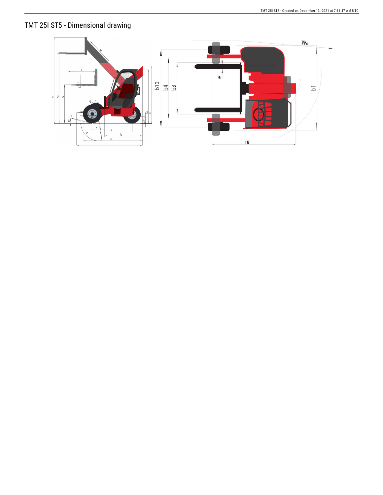## TMT 25I ST5 - Dimensional drawing